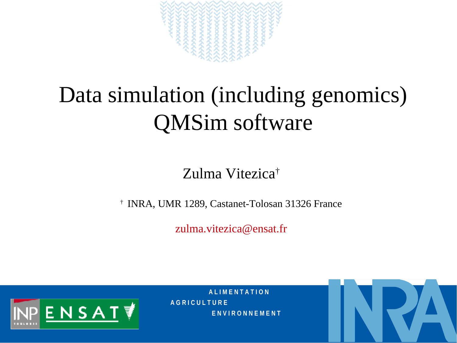

# Data simulation (including genomics) QMSim software

#### Zulma Vitezica†

† INRA, UMR 1289, Castanet-Tolosan 31326 France

[zulma.vitezica@ensat.fr](mailto:zulma.vitezica@ensat.fr)



**A L I M E N T A T I O N A G R I C U L T U R E E N V I R O N N E M E N T**

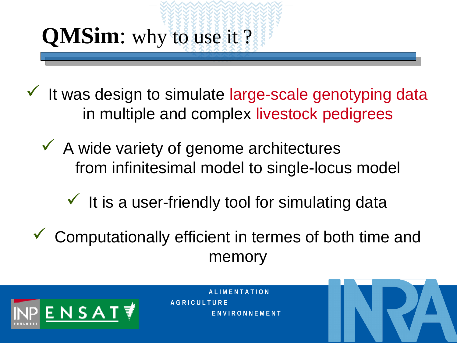# **QMSim**: why to use it ?

 $\checkmark$  It was design to simulate large-scale genotyping data in multiple and complex livestock pedigrees

 $\checkmark$  A wide variety of genome architectures from infinitesimal model to single-locus model

 $\checkmark$  It is a user-friendly tool for simulating data

 $\checkmark$  Computationally efficient in termes of both time and memory

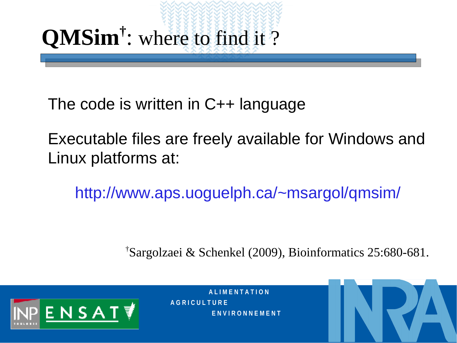# **QMSim†** : where to find it ?

The code is written in C++ language

Executable files are freely available for Windows and Linux platforms at:

<http://www.aps.uoguelph.ca/~msargol/qmsim/>

† Sargolzaei & Schenkel (2009), Bioinformatics 25:680-681.



**A L I M E N T A T I O N A G R I C U L T U R E E N V I R O N N E M E N T**

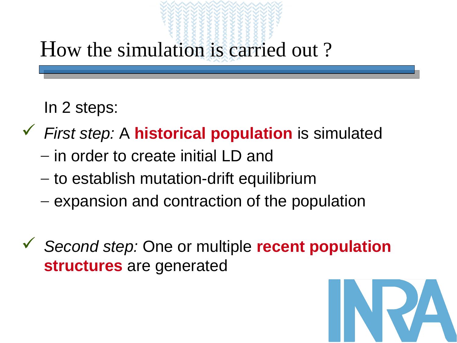#### How the simulation is carried out ?

In 2 steps:

- *First step:* A **historical population** is simulated
	- in order to create initial LD and
	- to establish mutation-drift equilibrium
	- expansion and contraction of the population
- *Second step:* One or multiple **recent population structures** are generated

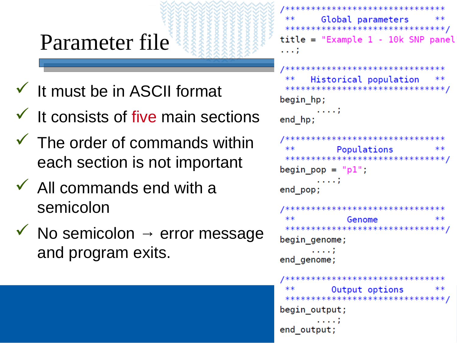#### Parameter file

- $\checkmark$  It must be in ASCII format
- $\checkmark$  It consists of five main sections
- $\checkmark$  The order of commands within each section is not important
- $\checkmark$  All commands end with a semicolon
- $\checkmark$  No semicolon  $\rightarrow$  error message and program exits.

```
/********************************
        Global parameters
 ********************************/
title = "Example 1 - 10k SNP panel1.11/********************************
      Historical population
 *********************************
begin hp;
end_hp;
/********************************
 **Populations
                                **********************************/
begin pop = "p1";
       . . . . ;
end pop;
/********************************
             Genome
                                **********************************/
begin genome;
      . . . . ;
end genome;
/********************************
          Output options
 ********************************/
begin output;
end output;
```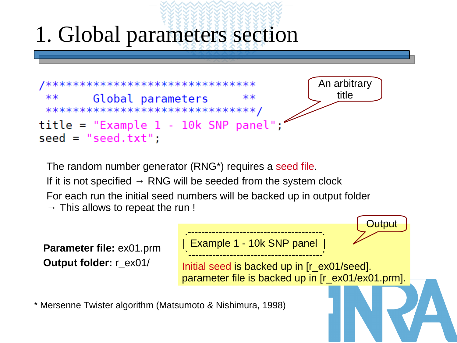## 1. Global parameters section



The random number generator (RNG\*) requires a seed file. If it is not specified  $\rightarrow$  RNG will be seeded from the system clock For each run the initial seed numbers will be backed up in output folder  $\rightarrow$  This allows to repeat the run !

**Parameter file:** ex01.prm **Output folder:** r\_ex01/

```
.---------------------------------------. 
Example 1 - 10k SNP panel
`---------------------------------------'
```
Initial seed is backed up in [r\_ex01/seed]. parameter file is backed up in [r\_ex01/ex01.prm].

**Output** 

\* Mersenne Twister algorithm (Matsumoto & Nishimura, 1998)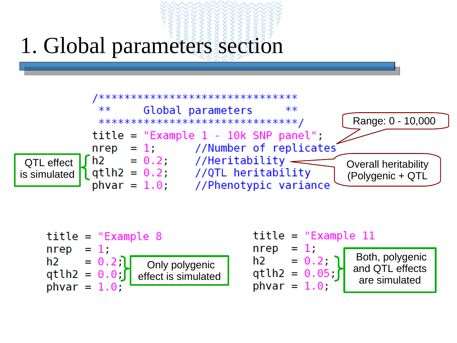#### 1. Global parameters section



$$
title = "Example 8nrep = 1;h2 = 0.2; Only polygenicqtlh2 = 0.0; The effect is simulatedphvar = 1.0;
$$

| $title = "Example 11$                     |                                    |
|-------------------------------------------|------------------------------------|
| nrep<br>$= 1$ .<br>$= 0.2;$ 1<br>h2.      | Both, polygenic<br>and QTL effects |
| $qtlh2 = 0.05;$<br>$\text{b}$ hvar = 1.0; | are simulated                      |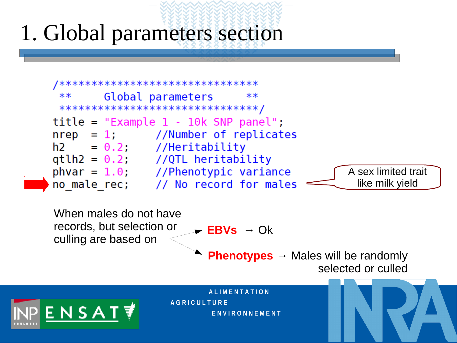## 1. Global parameters section

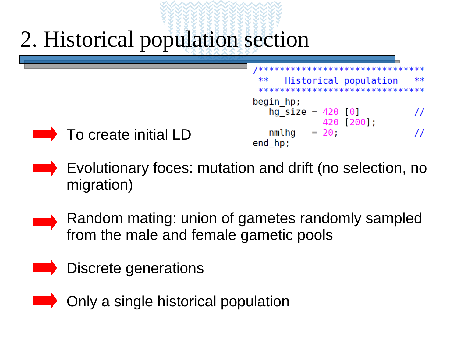



To create initial LD

- **Evolutionary foces: mutation and drift (no selection, no** migration)
- Random mating: union of gametes randomly sampled from the male and female gametic pools
- Discrete generations
- **EXAMPLE 2014** Only a single historical population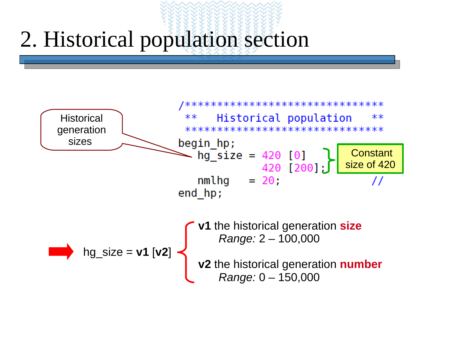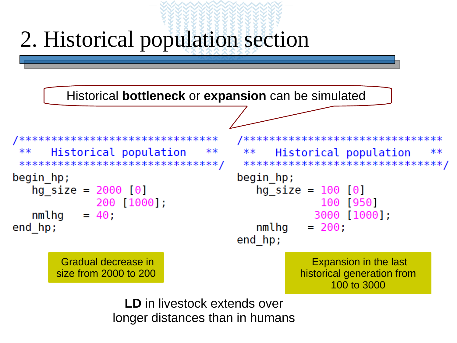

longer distances than in humans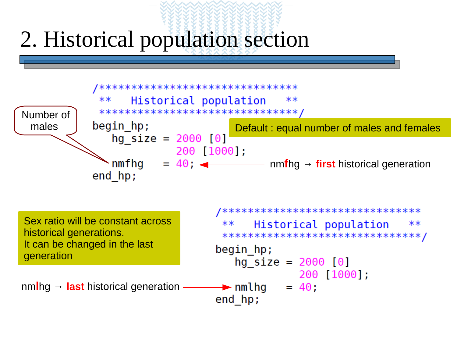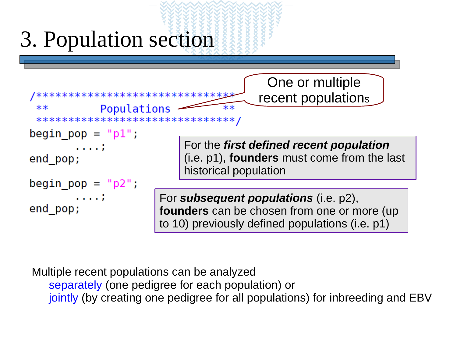

separately (one pedigree for each population) or jointly (by creating one pedigree for all populations) for inbreeding and EBV Multiple recent populations can be analyzed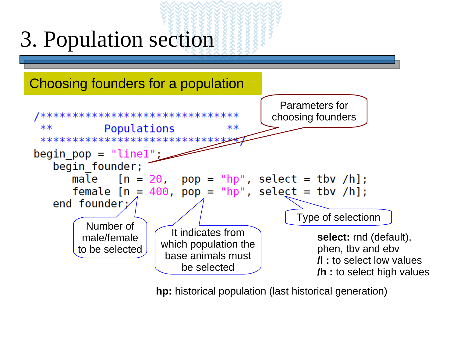

**hp:** historical population (last historical generation)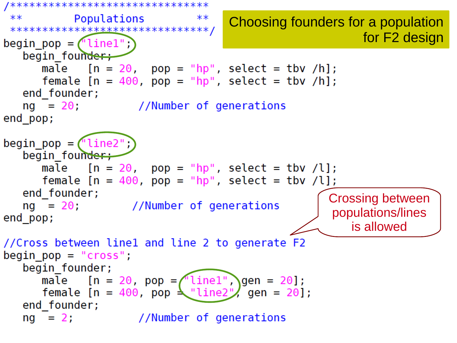```
/********************************
 **Populations
                                                              Choosing founders for a population 
 **********************************
                                                                                                   for F2 design
begin pop = (\text{line1");}begin founder;
          male [n = 20, pop = "hp", select = tbv /h];female [n = 400, pop = "hp", select = tbv /h];end founder;
     ng = 20; //Number of generations
end pop;
begin pop = ("line2");begin founder;
          male [n = 20, pop = "hp", select = tbv /l];female [n = 400, pop = "hp", select = tbv /l];end founder;
                                                                                          Crossing between 
     ng = 20; //Number of generations
                                                                                           populations/lines 
end_pop;
                                                                                                is allowed//Cross between linel and line 2 to generate F2
begin{bmatrix} \text{begin} \\ \text{begin}} \\ \text{begin}} \\ \text{begin}} \\ \text{begin}} \\ \text{begin}} \\ \text{begin}} \\ \text{begin}} \\ \text{begin}} \\ \text{begin}} \\ \text{begin}} \\ \text{begin}} \\ \text{begin}} \\ \text{begin}} \\ \text{begin}} \\ \text{begin}} \\ \text{begin}} \\ \text{begin}} \\ \text{begin}} \\ \text{begin}} \\ \text{begin}} \\ \text{begin}} \\ \text{begin}} \\ \text{begin}} \\ \text{begin}} \\ \text{begin}} \\ \text{begin}} \\ \text{begin}} \\ \text{begin}} \\ \text{begin}} \\ \text{begin}} \\ \text{begin}} \\ \text{begin}} \\ \text{begin}} \\ \text{begin}} \\ \text{begin}}begin founder;
          male [n = 20, pop = \sqrt{ line1", gen = 20];
          female [n = 400, pop \leq "line2", gen = 20];end founder;
     ng = 2; //Number of generations
```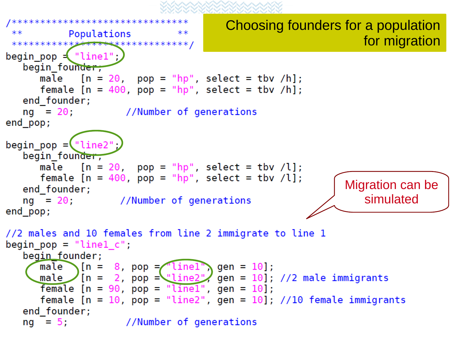```
Choosing founders for a population 
             Populations
 ****for migration************<del>******</del>*************/
begin pop \leq "linel";
   begin_founder;
       male [n = 20, pop = "hp", select = tbv /h];female [n = 400, pop = "hp", select = tbv /h];end_founder;
   ng = 20; //Number of generations
end_pop;
begin_p= \frac{1}{2} \frac{1}{2} \frac{1}{2} \frac{1}{2} \frac{1}{2} \frac{1}{2} \frac{1}{2} \frac{1}{2} \frac{1}{2} \frac{1}{2} \frac{1}{2} \frac{1}{2} \frac{1}{2} \frac{1}{2} \frac{1}{2} \frac{1}{2} \frac{1}{2} \frac{1}{2} \frac{1}{2} \frac{1}{2} \frac{1}{2} \fracbegin founder,
       male [n = 20, pop = "hp", select = tby /l];female [n = 400, pop = "hp", select = tbv /l];Migration can be 
   end founder;
                                                                                 simulated
   ng = 20; //Number of generations
end pop;
//2 males and 10 females from line 2 immigrate to line 1
begin pop = "linel c";
   begin founder;
               \bigcap[n = 8, pop = \bigcaplinel\bigcap gen = 10];
       male
       male [n = 2, pop = "line2", gen = 10]; // 2 male immigrantsfemale [n = 90, pop = "line1", gen = 10];
       female [n = 10, pop = "line2", gen = 10]; //10 female immigrants
   end founder;
   ng = 5; //Number of generations
```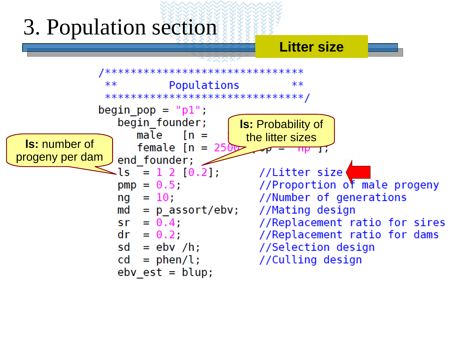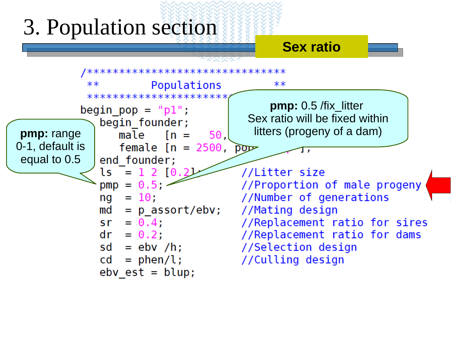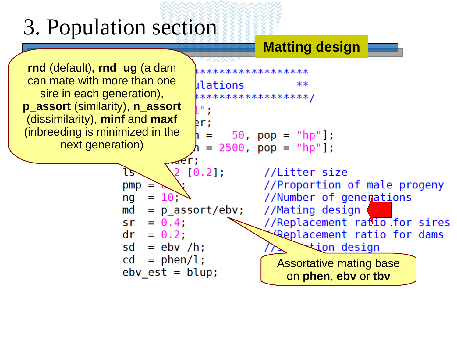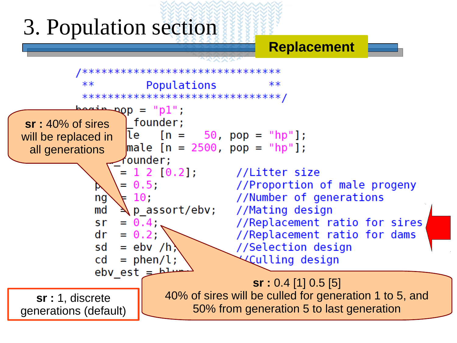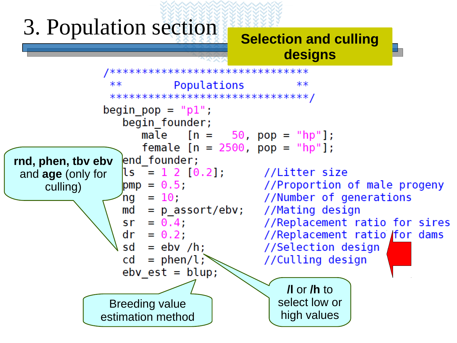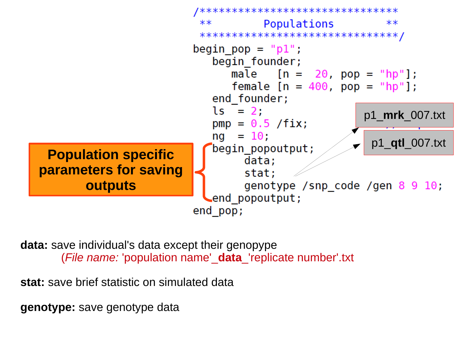

**data:** save individual's data except their genopype (*File name:* 'population name'\_**data**\_'replicate number'.txt

**stat:** save brief statistic on simulated data

**genotype:** save genotype data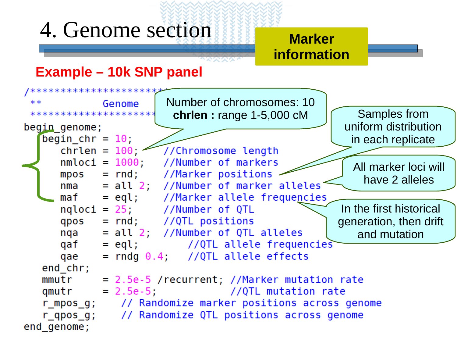### 4. Genome section

#### **Marker information**

#### **Example – 10k SNP panel**



くどどぶ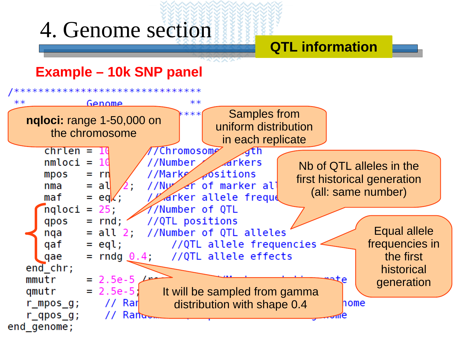#### 4. Genome section

#### **QTL information**

#### **Example – 10k SNP panel**

\*\*\*\*\*\*\*\*\*\*\*\*\*\*\*\*\*\*



スズベ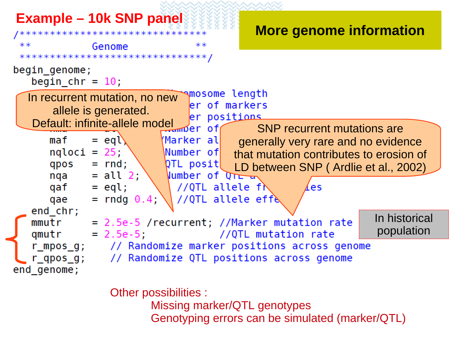

Other possibilities :

**Missing marker/QTL genotypes** Genotyping errors can be simulated (marker/QTL)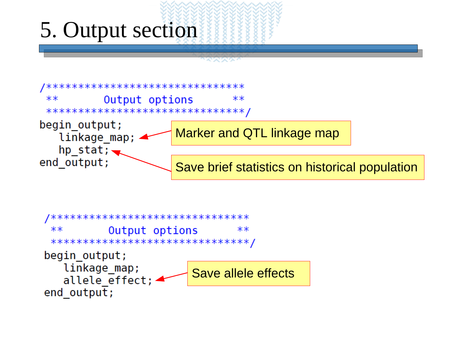### 5. Output section



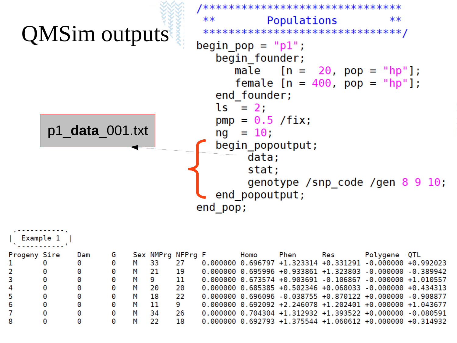

| Example 1    |   |     |   |   |    |                   |  |  |      |      |     |                                                               |  |
|--------------|---|-----|---|---|----|-------------------|--|--|------|------|-----|---------------------------------------------------------------|--|
| Progeny Sire |   | Dam |   |   |    | Sex NMPrg NFPrg F |  |  | Homo | Phen | Res | Polygene QTL                                                  |  |
|              | 0 | 0   | 0 |   | 33 | 27                |  |  |      |      |     | $0.000000$ 0.696797 +1.323314 +0.331291 -0.000000 +0.992023   |  |
|              | 0 | 0   | 0 | м | 21 | 19                |  |  |      |      |     | $0.000000$ $0.695996$ +0.933861 +1.323803 -0.000000 -0.389942 |  |
| 3            | 0 | 0   |   | м | 9  | 11                |  |  |      |      |     | $0.000000$ $0.673574$ +0.903691 -0.106867 -0.000000 +1.010557 |  |
| 4            | 0 |     |   | м | 20 | 20                |  |  |      |      |     | $0.000000$ $0.685385$ +0.502346 +0.068033 -0.000000 +0.434313 |  |
| 5            | 0 | 0   |   | м | 18 | 22                |  |  |      |      |     | $0.000000$ 0.696096 -0.038755 +0.870122 +0.000000 -0.908877   |  |
| 6            | 0 | 0   |   | м | 11 | 9                 |  |  |      |      |     | $0.000000$ 0.692092 +2.246078 +1.202401 +0.000000 +1.043677   |  |
|              | 0 | 0   |   | м | 34 | 26                |  |  |      |      |     | $0.000000$ 0.704304 +1.312932 +1.393522 +0.000000 -0.080591   |  |
| 8            | 0 | Θ   |   |   | つつ | 18                |  |  |      |      |     | $0.000000$ 0.692793 +1.375544 +1.060612 +0.000000 +0.314932   |  |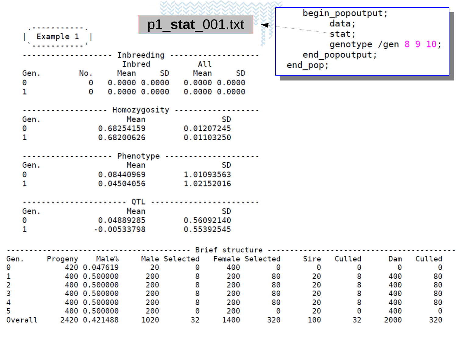|         |             |                       |               |               |                                     |               |     |          | begin_popoutput;                                                   |                            |     |
|---------|-------------|-----------------------|---------------|---------------|-------------------------------------|---------------|-----|----------|--------------------------------------------------------------------|----------------------------|-----|
|         |             |                       |               |               | p1 stat 001.txt                     |               |     |          | data;                                                              |                            |     |
|         | Example $1$ |                       |               |               |                                     |               |     |          | stat;                                                              |                            |     |
|         |             |                       |               |               |                                     |               |     |          |                                                                    | genotype /gen $8\,9\,10$ ; |     |
|         |             |                       |               | Inbreeding -- |                                     |               |     |          | end popoutput;                                                     |                            |     |
|         |             |                       |               | Inbred        | All                                 |               |     | end_pop; |                                                                    |                            |     |
| Gen.    |             | No.                   |               |               | Mean SD Mean                        | SD            |     |          |                                                                    |                            |     |
| 0       |             | $\boldsymbol{\Theta}$ |               |               | $0.0000$ $0.0000$ $0.0000$ $0.0000$ |               |     |          |                                                                    |                            |     |
| 1       |             | $\boldsymbol{\Theta}$ |               | 0.0000 0.0000 |                                     | 0.000000.0000 |     |          |                                                                    |                            |     |
|         |             |                       |               |               | ------ Homozygosity --------------- |               |     |          |                                                                    |                            |     |
| Gen.    |             |                       |               | Mean          |                                     | SD            |     |          |                                                                    |                            |     |
| 0       |             |                       |               |               | $0.68254159$ $0.01207245$           |               |     |          |                                                                    |                            |     |
| 1       |             |                       |               | 0.68200626    |                                     | 0.01103250    |     |          |                                                                    |                            |     |
|         |             |                       |               |               |                                     |               |     |          |                                                                    |                            |     |
|         |             |                       |               |               | --------- Phenotype ----------      |               |     |          |                                                                    |                            |     |
| Gen.    |             |                       |               | Mean          |                                     | SD            |     |          |                                                                    |                            |     |
| 0       |             |                       |               | 0.08440969    | 1.01093563                          |               |     |          |                                                                    |                            |     |
| 1       |             |                       |               | 0.04504056    |                                     | 1.02152016    |     |          |                                                                    |                            |     |
|         |             |                       |               |               |                                     |               |     |          |                                                                    |                            |     |
| Gen.    |             |                       |               | Mean          |                                     | SD            |     |          |                                                                    |                            |     |
| 0       |             |                       |               | 0.04889285    |                                     | 0.56092140    |     |          |                                                                    |                            |     |
| 1       |             |                       |               | -0.00533798   |                                     | 0.55392545    |     |          |                                                                    |                            |     |
|         |             |                       |               |               |                                     |               |     |          | Brief structure                                                    |                            |     |
| Gen.    |             |                       |               |               |                                     |               |     |          | Progeny Male% Male Selected Female Selected Sire Culled Dam Culled |                            |     |
| 0       |             |                       | 420 0.047619  | 20            | 0                                   | 400           |     | 0<br>0   | 0                                                                  | 0                          | 0   |
| 1       |             |                       | 400 0.500000  | 200           | 8                                   | 200           | 80  | 20       | 8                                                                  | 400                        | 80  |
| 2       |             |                       | 400 0.500000  | 200           | 8                                   | 200           | 80  | 20       | 8                                                                  | 400                        | 80  |
| 3       |             |                       | 400 0.500000  | 200           | 8                                   | 200           | 80  | 20       | 8                                                                  | 400                        | 80  |
| 4       |             |                       | 400 0.500000  | 200           | 8                                   | 200           | 80  | 20       | 8                                                                  | 400                        | 80  |
| 5       |             |                       | 400 0.500000  | 200           | 0                                   | 200           |     | 20<br>0  | 0                                                                  | 400                        | 0   |
| Overall |             |                       | 2420 0.421488 | 1020          | 32                                  | 1400          | 320 | 100      | 32                                                                 | 2000                       | 320 |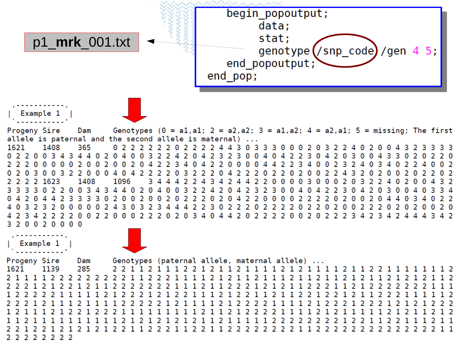

2 2 2 2 2 2 2 2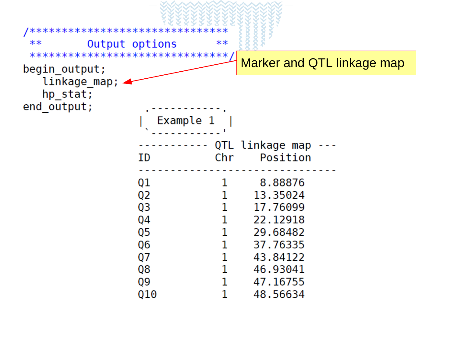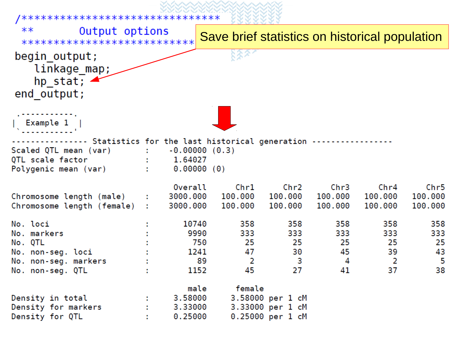| /********************************                                                                                                          |                                                               |                                                                                 |                                                          |                                   |                                   |                                   |
|--------------------------------------------------------------------------------------------------------------------------------------------|---------------------------------------------------------------|---------------------------------------------------------------------------------|----------------------------------------------------------|-----------------------------------|-----------------------------------|-----------------------------------|
| $***$<br>Output options<br>***************************                                                                                     |                                                               | Save brief statistics on historical population                                  |                                                          |                                   |                                   |                                   |
| begin output;<br>linkage_map;<br>hp stat; $\blacktriangle$<br>end output;                                                                  |                                                               |                                                                                 |                                                          |                                   |                                   |                                   |
| $ \sum_{i=1}^{n}$ Example 1                                                                                                                |                                                               |                                                                                 |                                                          |                                   |                                   |                                   |
| ------ Statistics for the last historical generation --------------<br>Scaled QTL mean (var)<br>QTL scale factor<br>Polygenic mean (var) : | $\, \cdot \qquad \, -0.00000 \; \; (0.3)$<br>$\ddots$ 1.64027 | 0.00000(0)                                                                      |                                                          |                                   |                                   |                                   |
| Chromosome length (male) :<br>Chromosome length (female) :                                                                                 | Overall<br>3000.000<br>3000.000                               | Chr1<br>100.000<br>100.000                                                      | Chr2<br>100.000<br>100.000                               | Chr3<br>100.000<br>100.000        | Chr4<br>100.000<br>100.000        | Chr5<br>100.000<br>100.000        |
| No. loci<br>No. markers<br>No. QTL<br>No. non-seg. loci<br>No. non-seg. markers<br>No. non-seg. QTL                                        |                                                               | 358<br>10740<br>9990<br>333<br>750<br>25<br>47<br>1241<br>89<br>2<br>45<br>1152 | 358<br>333<br>25<br>30<br>з<br>27                        | 358<br>333<br>25<br>45<br>4<br>41 | 358<br>333<br>25<br>39<br>2<br>37 | 358<br>333<br>25<br>43<br>5<br>38 |
| Density in total<br>Density for markers<br>Density for QTL                                                                                 | 3.58000<br>3.33000<br>0.25000                                 | female<br>male                                                                  | 3.58000 per 1 cM<br>3.33000 per 1 cM<br>0.25000 per 1 cM |                                   |                                   |                                   |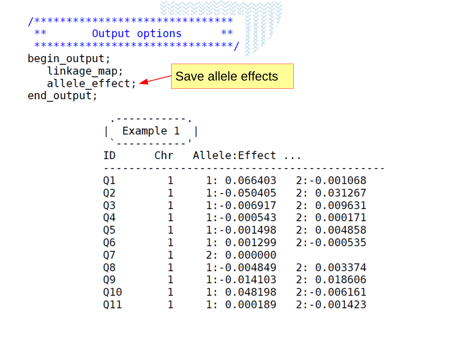| ****************************                                           |  |
|------------------------------------------------------------------------|--|
| $***$<br>Output options<br>$***$                                       |  |
| *********************************                                      |  |
| begin output;                                                          |  |
| linkage map;<br>Save allele effects                                    |  |
| allele effect;                                                         |  |
| end output;                                                            |  |
|                                                                        |  |
|                                                                        |  |
| Example 1                                                              |  |
|                                                                        |  |
| Chr<br>Allele:Effect<br>ΙD                                             |  |
|                                                                        |  |
| Q1<br>1: 0.066403<br>2: -0.001068<br>1<br>$1:-0.050405$<br>2: 0.031267 |  |
| Q2<br>1<br>1<br>$1: -0.006917$ 2: 0.009631                             |  |
| Q3<br>1<br>1:-0.000543<br>2: 0.000171<br>Q4                            |  |
| 1<br>Q5<br>1:-0.001498<br>2: 0.004858                                  |  |
| 1<br>Q6<br>1: 0.001299<br>$2: -0.000535$                               |  |
| Q7<br>2: 0.000000                                                      |  |
| 1<br>Q8<br>2: 0.003374<br>$1: -0.004849$                               |  |
| 1<br>Q9<br>$1: -0.014103$<br>2: 0.018606                               |  |
| 1<br>Q10<br>1: 0.048198<br>$2: -0.006161$                              |  |
| 1<br>Q11<br>1: 0.000189<br>$2: -0.001423$                              |  |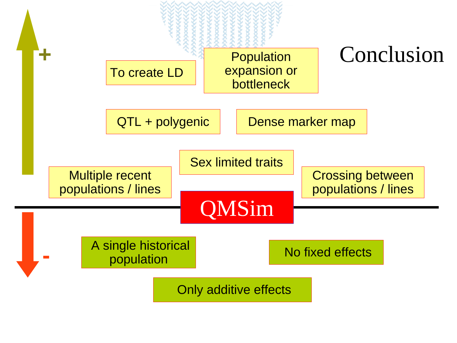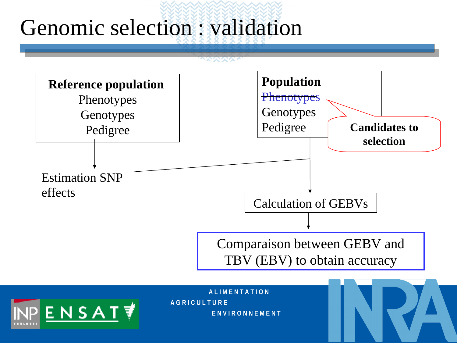## Genomic selection : validation